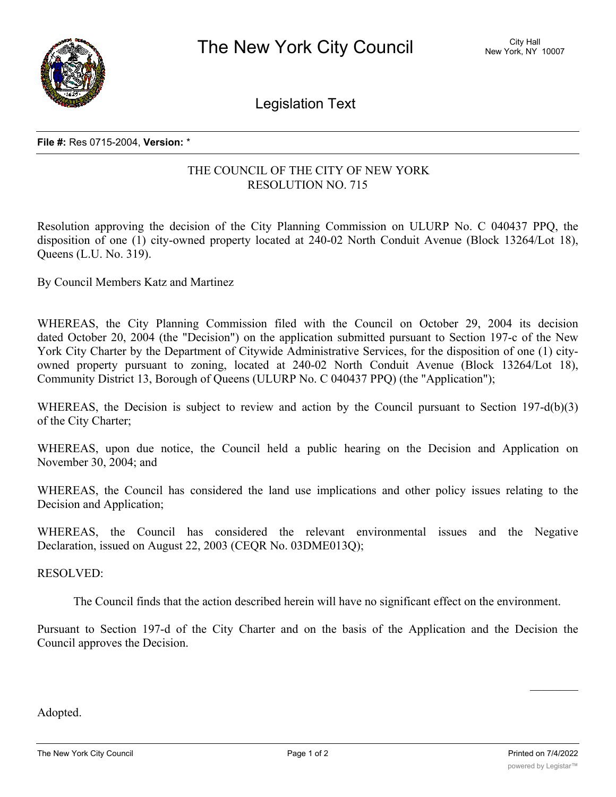

Legislation Text

## **File #:** Res 0715-2004, **Version:** \*

## THE COUNCIL OF THE CITY OF NEW YORK RESOLUTION NO. 715

Resolution approving the decision of the City Planning Commission on ULURP No. C 040437 PPQ, the disposition of one (1) city-owned property located at 240-02 North Conduit Avenue (Block 13264/Lot 18), Queens (L.U. No. 319).

By Council Members Katz and Martinez

WHEREAS, the City Planning Commission filed with the Council on October 29, 2004 its decision dated October 20, 2004 (the "Decision") on the application submitted pursuant to Section 197-c of the New York City Charter by the Department of Citywide Administrative Services, for the disposition of one (1) cityowned property pursuant to zoning, located at 240-02 North Conduit Avenue (Block 13264/Lot 18), Community District 13, Borough of Queens (ULURP No. C 040437 PPQ) (the "Application");

WHEREAS, the Decision is subject to review and action by the Council pursuant to Section 197-d(b)(3) of the City Charter;

WHEREAS, upon due notice, the Council held a public hearing on the Decision and Application on November 30, 2004; and

WHEREAS, the Council has considered the land use implications and other policy issues relating to the Decision and Application;

WHEREAS, the Council has considered the relevant environmental issues and the Negative Declaration, issued on August 22, 2003 (CEQR No. 03DME013Q);

RESOLVED:

The Council finds that the action described herein will have no significant effect on the environment.

Pursuant to Section 197-d of the City Charter and on the basis of the Application and the Decision the Council approves the Decision.

Adopted.